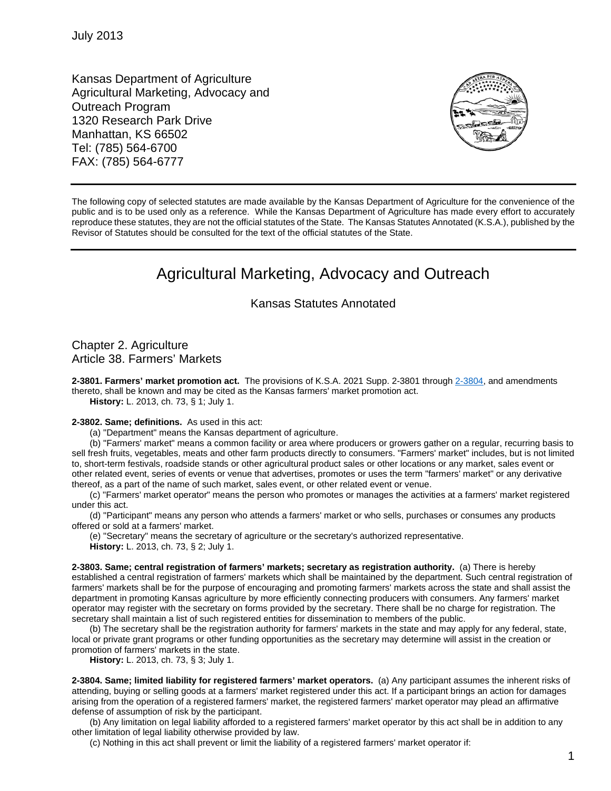Kansas Department of Agriculture Agricultural Marketing, Advocacy and Outreach Program 1320 Research Park Drive Manhattan, KS 66502 Tel: (785) 564-6700 FAX: (785) 564-6777



The following copy of selected statutes are made available by the Kansas Department of Agriculture for the convenience of the public and is to be used only as a reference. While the Kansas Department of Agriculture has made every effort to accurately reproduce these statutes, they are not the official statutes of the State. The Kansas Statutes Annotated (K.S.A.), published by the Revisor of Statutes should be consulted for the text of the official statutes of the State.

# Agricultural Marketing, Advocacy and Outreach

# Kansas Statutes Annotated

Chapter 2. Agriculture Article 38. Farmers' Markets

**2-3801. Farmers' market promotion act.** The provisions of K.S.A. 2021 Supp. 2-3801 through [2-3804,](http://www.ksrevisor.org/statutes/chapters/ch02/002_038_0004.html) and amendments thereto, shall be known and may be cited as the Kansas farmers' market promotion act.

**History:** L. 2013, ch. 73, § 1; July 1.

### **2-3802. Same; definitions.** As used in this act:

(a) "Department" means the Kansas department of agriculture.

(b) "Farmers' market" means a common facility or area where producers or growers gather on a regular, recurring basis to sell fresh fruits, vegetables, meats and other farm products directly to consumers. "Farmers' market" includes, but is not limited to, short-term festivals, roadside stands or other agricultural product sales or other locations or any market, sales event or other related event, series of events or venue that advertises, promotes or uses the term "farmers' market" or any derivative thereof, as a part of the name of such market, sales event, or other related event or venue.

(c) "Farmers' market operator" means the person who promotes or manages the activities at a farmers' market registered under this act.

(d) "Participant" means any person who attends a farmers' market or who sells, purchases or consumes any products offered or sold at a farmers' market.

(e) "Secretary" means the secretary of agriculture or the secretary's authorized representative. **History:** L. 2013, ch. 73, § 2; July 1.

**2-3803. Same; central registration of farmers' markets; secretary as registration authority.** (a) There is hereby established a central registration of farmers' markets which shall be maintained by the department. Such central registration of farmers' markets shall be for the purpose of encouraging and promoting farmers' markets across the state and shall assist the department in promoting Kansas agriculture by more efficiently connecting producers with consumers. Any farmers' market operator may register with the secretary on forms provided by the secretary. There shall be no charge for registration. The secretary shall maintain a list of such registered entities for dissemination to members of the public.

(b) The secretary shall be the registration authority for farmers' markets in the state and may apply for any federal, state, local or private grant programs or other funding opportunities as the secretary may determine will assist in the creation or promotion of farmers' markets in the state.

**History:** L. 2013, ch. 73, § 3; July 1.

**2-3804. Same; limited liability for registered farmers' market operators.** (a) Any participant assumes the inherent risks of attending, buying or selling goods at a farmers' market registered under this act. If a participant brings an action for damages arising from the operation of a registered farmers' market, the registered farmers' market operator may plead an affirmative defense of assumption of risk by the participant.

(b) Any limitation on legal liability afforded to a registered farmers' market operator by this act shall be in addition to any other limitation of legal liability otherwise provided by law.

(c) Nothing in this act shall prevent or limit the liability of a registered farmers' market operator if: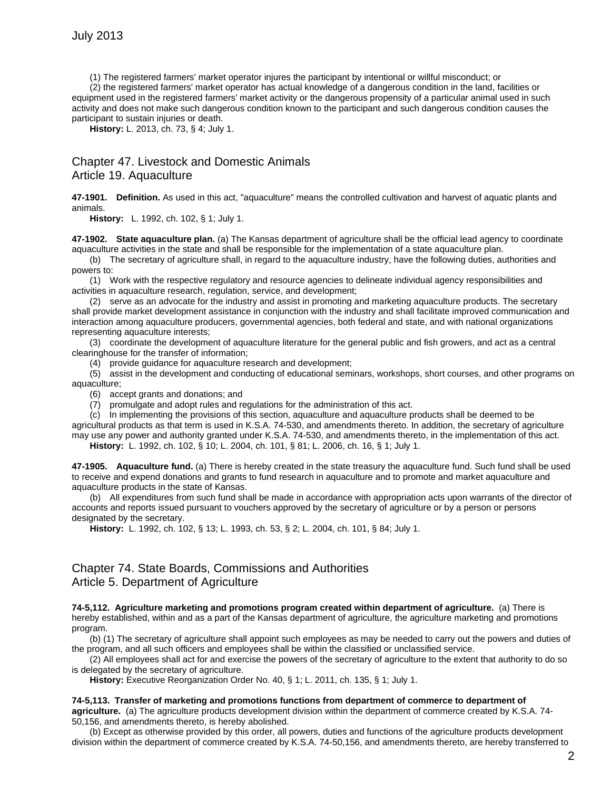(1) The registered farmers' market operator injures the participant by intentional or willful misconduct; or

(2) the registered farmers' market operator has actual knowledge of a dangerous condition in the land, facilities or equipment used in the registered farmers' market activity or the dangerous propensity of a particular animal used in such activity and does not make such dangerous condition known to the participant and such dangerous condition causes the participant to sustain injuries or death.

**History:** L. 2013, ch. 73, § 4; July 1.

# Chapter 47. Livestock and Domestic Animals Article 19. Aquaculture

**47-1901. Definition.** As used in this act, "aquaculture" means the controlled cultivation and harvest of aquatic plants and animals.

**History:** L. 1992, ch. 102, § 1; July 1.

**47-1902. State aquaculture plan.** (a) The Kansas department of agriculture shall be the official lead agency to coordinate aquaculture activities in the state and shall be responsible for the implementation of a state aquaculture plan.

(b) The secretary of agriculture shall, in regard to the aquaculture industry, have the following duties, authorities and powers to:

(1) Work with the respective regulatory and resource agencies to delineate individual agency responsibilities and activities in aquaculture research, regulation, service, and development;

(2) serve as an advocate for the industry and assist in promoting and marketing aquaculture products. The secretary shall provide market development assistance in conjunction with the industry and shall facilitate improved communication and interaction among aquaculture producers, governmental agencies, both federal and state, and with national organizations representing aquaculture interests;

(3) coordinate the development of aquaculture literature for the general public and fish growers, and act as a central clearinghouse for the transfer of information;

(4) provide guidance for aquaculture research and development;

(5) assist in the development and conducting of educational seminars, workshops, short courses, and other programs on aquaculture;

(6) accept grants and donations; and

(7) promulgate and adopt rules and regulations for the administration of this act.

(c) In implementing the provisions of this section, aquaculture and aquaculture products shall be deemed to be agricultural products as that term is used in K.S.A. 74-530, and amendments thereto. In addition, the secretary of agriculture may use any power and authority granted under K.S.A. 74-530, and amendments thereto, in the implementation of this act.

**History:** L. 1992, ch. 102, § 10; L. 2004, ch. 101, § 81; L. 2006, ch. 16, § 1; July 1.

**47-1905. Aquaculture fund.** (a) There is hereby created in the state treasury the aquaculture fund. Such fund shall be used to receive and expend donations and grants to fund research in aquaculture and to promote and market aquaculture and aquaculture products in the state of Kansas.

(b) All expenditures from such fund shall be made in accordance with appropriation acts upon warrants of the director of accounts and reports issued pursuant to vouchers approved by the secretary of agriculture or by a person or persons designated by the secretary.

**History:** L. 1992, ch. 102, § 13; L. 1993, ch. 53, § 2; L. 2004, ch. 101, § 84; July 1.

# Chapter 74. State Boards, Commissions and Authorities Article 5. Department of Agriculture

**74-5,112. Agriculture marketing and promotions program created within department of agriculture.** (a) There is hereby established, within and as a part of the Kansas department of agriculture, the agriculture marketing and promotions program.

(b) (1) The secretary of agriculture shall appoint such employees as may be needed to carry out the powers and duties of the program, and all such officers and employees shall be within the classified or unclassified service.

(2) All employees shall act for and exercise the powers of the secretary of agriculture to the extent that authority to do so is delegated by the secretary of agriculture.

**History:** Executive Reorganization Order No. 40, § 1; L. 2011, ch. 135, § 1; July 1.

### **74-5,113. Transfer of marketing and promotions functions from department of commerce to department of**

**agriculture.** (a) The agriculture products development division within the department of commerce created by K.S.A. 74- 50,156, and amendments thereto, is hereby abolished.

(b) Except as otherwise provided by this order, all powers, duties and functions of the agriculture products development division within the department of commerce created by K.S.A. 74-50,156, and amendments thereto, are hereby transferred to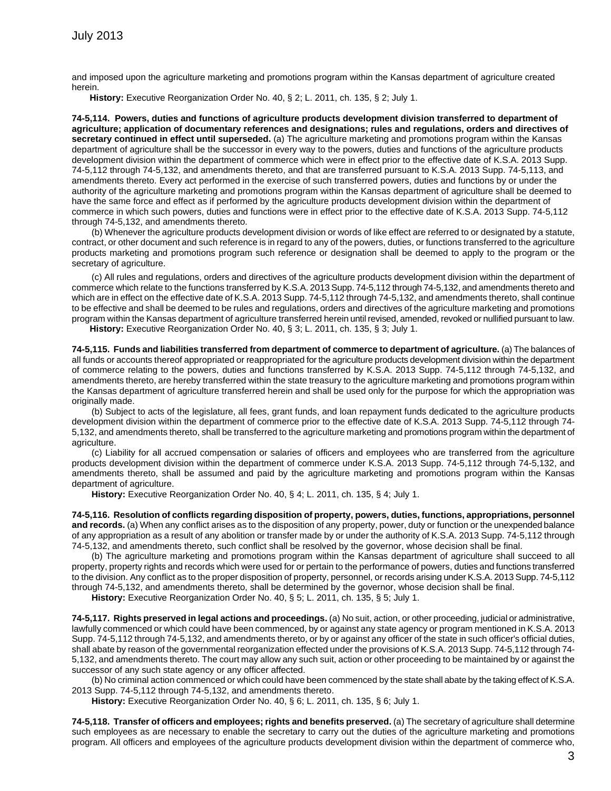and imposed upon the agriculture marketing and promotions program within the Kansas department of agriculture created herein.

**History:** Executive Reorganization Order No. 40, § 2; L. 2011, ch. 135, § 2; July 1.

**74-5,114. Powers, duties and functions of agriculture products development division transferred to department of agriculture; application of documentary references and designations; rules and regulations, orders and directives of secretary continued in effect until superseded.** (a) The agriculture marketing and promotions program within the Kansas department of agriculture shall be the successor in every way to the powers, duties and functions of the agriculture products development division within the department of commerce which were in effect prior to the effective date of K.S.A. 2013 Supp. 74-5,112 through 74-5,132, and amendments thereto, and that are transferred pursuant to K.S.A. 2013 Supp. 74-5,113, and amendments thereto. Every act performed in the exercise of such transferred powers, duties and functions by or under the authority of the agriculture marketing and promotions program within the Kansas department of agriculture shall be deemed to have the same force and effect as if performed by the agriculture products development division within the department of commerce in which such powers, duties and functions were in effect prior to the effective date of K.S.A. 2013 Supp. 74-5,112 through 74-5,132, and amendments thereto.

(b) Whenever the agriculture products development division or words of like effect are referred to or designated by a statute, contract, or other document and such reference is in regard to any of the powers, duties, or functions transferred to the agriculture products marketing and promotions program such reference or designation shall be deemed to apply to the program or the secretary of agriculture.

(c) All rules and regulations, orders and directives of the agriculture products development division within the department of commerce which relate to the functions transferred by K.S.A. 2013 Supp. 74-5,112 through 74-5,132, and amendments thereto and which are in effect on the effective date of K.S.A. 2013 Supp. 74-5,112 through 74-5,132, and amendments thereto, shall continue to be effective and shall be deemed to be rules and regulations, orders and directives of the agriculture marketing and promotions program within the Kansas department of agriculture transferred herein until revised, amended, revoked or nullified pursuant to law. **History:** Executive Reorganization Order No. 40, § 3; L. 2011, ch. 135, § 3; July 1.

**74-5,115. Funds and liabilities transferred from department of commerce to department of agriculture.** (a) The balances of all funds or accounts thereof appropriated or reappropriated for the agriculture products development division within the department of commerce relating to the powers, duties and functions transferred by K.S.A. 2013 Supp. 74-5,112 through 74-5,132, and amendments thereto, are hereby transferred within the state treasury to the agriculture marketing and promotions program within the Kansas department of agriculture transferred herein and shall be used only for the purpose for which the appropriation was originally made.

(b) Subject to acts of the legislature, all fees, grant funds, and loan repayment funds dedicated to the agriculture products development division within the department of commerce prior to the effective date of K.S.A. 2013 Supp. 74-5,112 through 74- 5,132, and amendments thereto, shall be transferred to the agriculture marketing and promotions program within the department of agriculture.

(c) Liability for all accrued compensation or salaries of officers and employees who are transferred from the agriculture products development division within the department of commerce under K.S.A. 2013 Supp. 74-5,112 through 74-5,132, and amendments thereto, shall be assumed and paid by the agriculture marketing and promotions program within the Kansas department of agriculture.

**History:** Executive Reorganization Order No. 40, § 4; L. 2011, ch. 135, § 4; July 1.

**74-5,116. Resolution of conflicts regarding disposition of property, powers, duties, functions, appropriations, personnel and records.** (a) When any conflict arises as to the disposition of any property, power, duty or function or the unexpended balance of any appropriation as a result of any abolition or transfer made by or under the authority of K.S.A. 2013 Supp. 74-5,112 through 74-5,132, and amendments thereto, such conflict shall be resolved by the governor, whose decision shall be final.

(b) The agriculture marketing and promotions program within the Kansas department of agriculture shall succeed to all property, property rights and records which were used for or pertain to the performance of powers, duties and functions transferred to the division. Any conflict as to the proper disposition of property, personnel, or records arising under K.S.A. 2013 Supp. 74-5,112 through 74-5,132, and amendments thereto, shall be determined by the governor, whose decision shall be final.

**History:** Executive Reorganization Order No. 40, § 5; L. 2011, ch. 135, § 5; July 1.

**74-5,117. Rights preserved in legal actions and proceedings.** (a) No suit, action, or other proceeding, judicial or administrative, lawfully commenced or which could have been commenced, by or against any state agency or program mentioned in K.S.A. 2013 Supp. 74-5,112 through 74-5,132, and amendments thereto, or by or against any officer of the state in such officer's official duties, shall abate by reason of the governmental reorganization effected under the provisions of K.S.A. 2013 Supp. 74-5,112 through 74- 5,132, and amendments thereto. The court may allow any such suit, action or other proceeding to be maintained by or against the successor of any such state agency or any officer affected.

(b) No criminal action commenced or which could have been commenced by the state shall abate by the taking effect of K.S.A. 2013 Supp. 74-5,112 through 74-5,132, and amendments thereto.

**History:** Executive Reorganization Order No. 40, § 6; L. 2011, ch. 135, § 6; July 1.

**74-5,118. Transfer of officers and employees; rights and benefits preserved.** (a) The secretary of agriculture shall determine such employees as are necessary to enable the secretary to carry out the duties of the agriculture marketing and promotions program. All officers and employees of the agriculture products development division within the department of commerce who,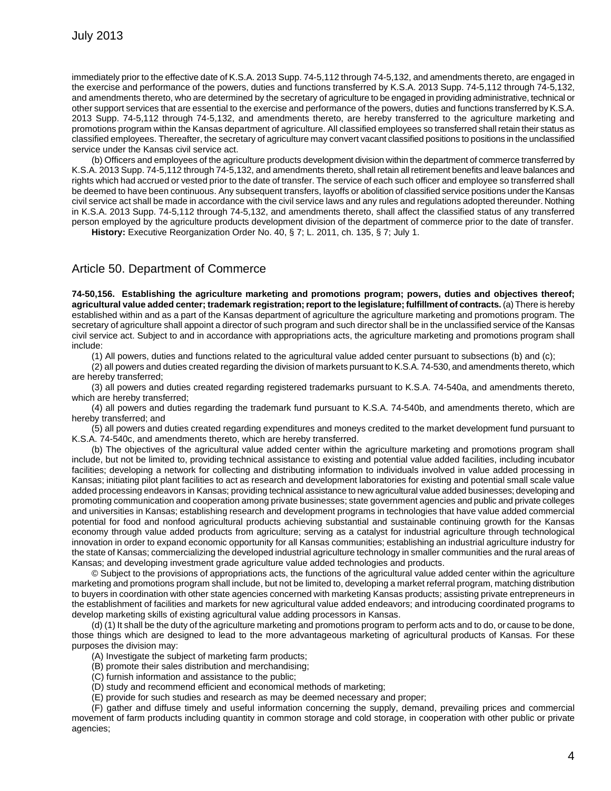immediately prior to the effective date of K.S.A. 2013 Supp. 74-5,112 through 74-5,132, and amendments thereto, are engaged in the exercise and performance of the powers, duties and functions transferred by K.S.A. 2013 Supp. 74-5,112 through 74-5,132, and amendments thereto, who are determined by the secretary of agriculture to be engaged in providing administrative, technical or other support services that are essential to the exercise and performance of the powers, duties and functions transferred by K.S.A. 2013 Supp. 74-5,112 through 74-5,132, and amendments thereto, are hereby transferred to the agriculture marketing and promotions program within the Kansas department of agriculture. All classified employees so transferred shall retain their status as classified employees. Thereafter, the secretary of agriculture may convert vacant classified positions to positions in the unclassified service under the Kansas civil service act.

(b) Officers and employees of the agriculture products development division within the department of commerce transferred by K.S.A. 2013 Supp. 74-5,112 through 74-5,132, and amendments thereto, shall retain all retirement benefits and leave balances and rights which had accrued or vested prior to the date of transfer. The service of each such officer and employee so transferred shall be deemed to have been continuous. Any subsequent transfers, layoffs or abolition of classified service positions under the Kansas civil service act shall be made in accordance with the civil service laws and any rules and regulations adopted thereunder. Nothing in K.S.A. 2013 Supp. 74-5,112 through 74-5,132, and amendments thereto, shall affect the classified status of any transferred person employed by the agriculture products development division of the department of commerce prior to the date of transfer.

**History:** Executive Reorganization Order No. 40, § 7; L. 2011, ch. 135, § 7; July 1.

### Article 50. Department of Commerce

**74-50,156. Establishing the agriculture marketing and promotions program; powers, duties and objectives thereof; agricultural value added center; trademark registration; report to the legislature; fulfillment of contracts.** (a) There is hereby established within and as a part of the Kansas department of agriculture the agriculture marketing and promotions program. The secretary of agriculture shall appoint a director of such program and such director shall be in the unclassified service of the Kansas civil service act. Subject to and in accordance with appropriations acts, the agriculture marketing and promotions program shall include:

(1) All powers, duties and functions related to the agricultural value added center pursuant to subsections (b) and (c);

(2) all powers and duties created regarding the division of markets pursuant to K.S.A. 74-530, and amendments thereto, which are hereby transferred;

(3) all powers and duties created regarding registered trademarks pursuant to K.S.A. 74-540a, and amendments thereto, which are hereby transferred;

(4) all powers and duties regarding the trademark fund pursuant to K.S.A. 74-540b, and amendments thereto, which are hereby transferred; and

(5) all powers and duties created regarding expenditures and moneys credited to the market development fund pursuant to K.S.A. 74-540c, and amendments thereto, which are hereby transferred.

(b) The objectives of the agricultural value added center within the agriculture marketing and promotions program shall include, but not be limited to, providing technical assistance to existing and potential value added facilities, including incubator facilities; developing a network for collecting and distributing information to individuals involved in value added processing in Kansas; initiating pilot plant facilities to act as research and development laboratories for existing and potential small scale value added processing endeavors in Kansas; providing technical assistance to new agricultural value added businesses; developing and promoting communication and cooperation among private businesses; state government agencies and public and private colleges and universities in Kansas; establishing research and development programs in technologies that have value added commercial potential for food and nonfood agricultural products achieving substantial and sustainable continuing growth for the Kansas economy through value added products from agriculture; serving as a catalyst for industrial agriculture through technological innovation in order to expand economic opportunity for all Kansas communities; establishing an industrial agriculture industry for the state of Kansas; commercializing the developed industrial agriculture technology in smaller communities and the rural areas of Kansas; and developing investment grade agriculture value added technologies and products.

© Subject to the provisions of appropriations acts, the functions of the agricultural value added center within the agriculture marketing and promotions program shall include, but not be limited to, developing a market referral program, matching distribution to buyers in coordination with other state agencies concerned with marketing Kansas products; assisting private entrepreneurs in the establishment of facilities and markets for new agricultural value added endeavors; and introducing coordinated programs to develop marketing skills of existing agricultural value adding processors in Kansas.

(d) (1) It shall be the duty of the agriculture marketing and promotions program to perform acts and to do, or cause to be done, those things which are designed to lead to the more advantageous marketing of agricultural products of Kansas. For these purposes the division may:

(A) Investigate the subject of marketing farm products;

(B) promote their sales distribution and merchandising;

- (C) furnish information and assistance to the public;
- (D) study and recommend efficient and economical methods of marketing;
- (E) provide for such studies and research as may be deemed necessary and proper;

(F) gather and diffuse timely and useful information concerning the supply, demand, prevailing prices and commercial movement of farm products including quantity in common storage and cold storage, in cooperation with other public or private agencies;